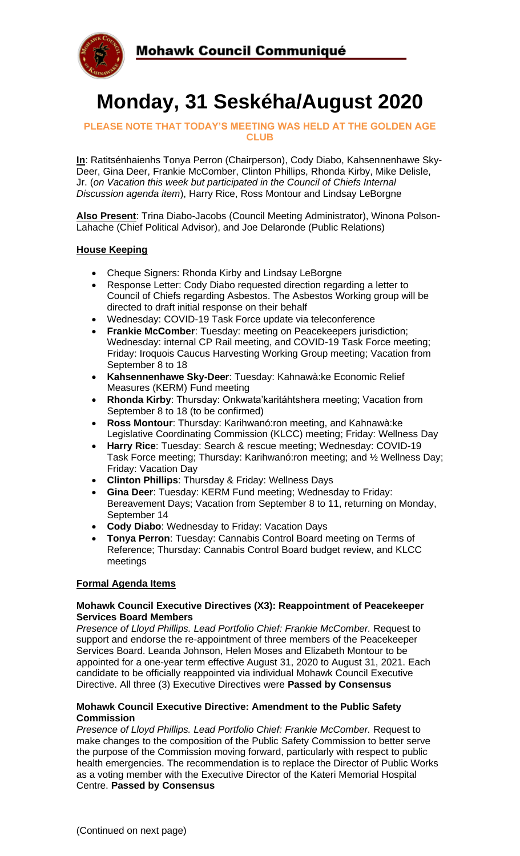

# **Monday, 31 Seskéha/August 2020**

#### **PLEASE NOTE THAT TODAY'S MEETING WAS HELD AT THE GOLDEN AGE CLUB**

**In**: Ratitsénhaienhs Tonya Perron (Chairperson), Cody Diabo, Kahsennenhawe Sky-Deer, Gina Deer, Frankie McComber, Clinton Phillips, Rhonda Kirby, Mike Delisle, Jr. (*on Vacation this week but participated in the Council of Chiefs Internal Discussion agenda item*), Harry Rice, Ross Montour and Lindsay LeBorgne

**Also Present**: Trina Diabo-Jacobs (Council Meeting Administrator), Winona Polson-Lahache (Chief Political Advisor), and Joe Delaronde (Public Relations)

## **House Keeping**

- Cheque Signers: Rhonda Kirby and Lindsay LeBorgne
- Response Letter: Cody Diabo requested direction regarding a letter to Council of Chiefs regarding Asbestos. The Asbestos Working group will be directed to draft initial response on their behalf
- Wednesday: COVID-19 Task Force update via teleconference
- **Frankie McComber**: Tuesday: meeting on Peacekeepers jurisdiction; Wednesday: internal CP Rail meeting, and COVID-19 Task Force meeting; Friday: Iroquois Caucus Harvesting Working Group meeting; Vacation from September 8 to 18
- **Kahsennenhawe Sky-Deer**: Tuesday: Kahnawà:ke Economic Relief Measures (KERM) Fund meeting
- **Rhonda Kirby**: Thursday: Onkwata'karitáhtshera meeting; Vacation from September 8 to 18 (to be confirmed)
- **Ross Montour**: Thursday: Karihwanó:ron meeting, and Kahnawà:ke Legislative Coordinating Commission (KLCC) meeting; Friday: Wellness Day
- **Harry Rice**: Tuesday: Search & rescue meeting; Wednesday: COVID-19 Task Force meeting; Thursday: Karihwanó:ron meeting; and ½ Wellness Day; Friday: Vacation Day
- **Clinton Phillips**: Thursday & Friday: Wellness Days
- **Gina Deer**: Tuesday: KERM Fund meeting; Wednesday to Friday: Bereavement Days; Vacation from September 8 to 11, returning on Monday, September 14
- **Cody Diabo**: Wednesday to Friday: Vacation Days
- **Tonya Perron**: Tuesday: Cannabis Control Board meeting on Terms of Reference; Thursday: Cannabis Control Board budget review, and KLCC meetings

# **Formal Agenda Items**

#### **Mohawk Council Executive Directives (X3): Reappointment of Peacekeeper Services Board Members**

*Presence of Lloyd Phillips. Lead Portfolio Chief: Frankie McComber.* Request to support and endorse the re-appointment of three members of the Peacekeeper Services Board. Leanda Johnson, Helen Moses and Elizabeth Montour to be appointed for a one-year term effective August 31, 2020 to August 31, 2021. Each candidate to be officially reappointed via individual Mohawk Council Executive Directive. All three (3) Executive Directives were **Passed by Consensus**

#### **Mohawk Council Executive Directive: Amendment to the Public Safety Commission**

*Presence of Lloyd Phillips. Lead Portfolio Chief: Frankie McComber.* Request to make changes to the composition of the Public Safety Commission to better serve the purpose of the Commission moving forward, particularly with respect to public health emergencies. The recommendation is to replace the Director of Public Works as a voting member with the Executive Director of the Kateri Memorial Hospital Centre. **Passed by Consensus**